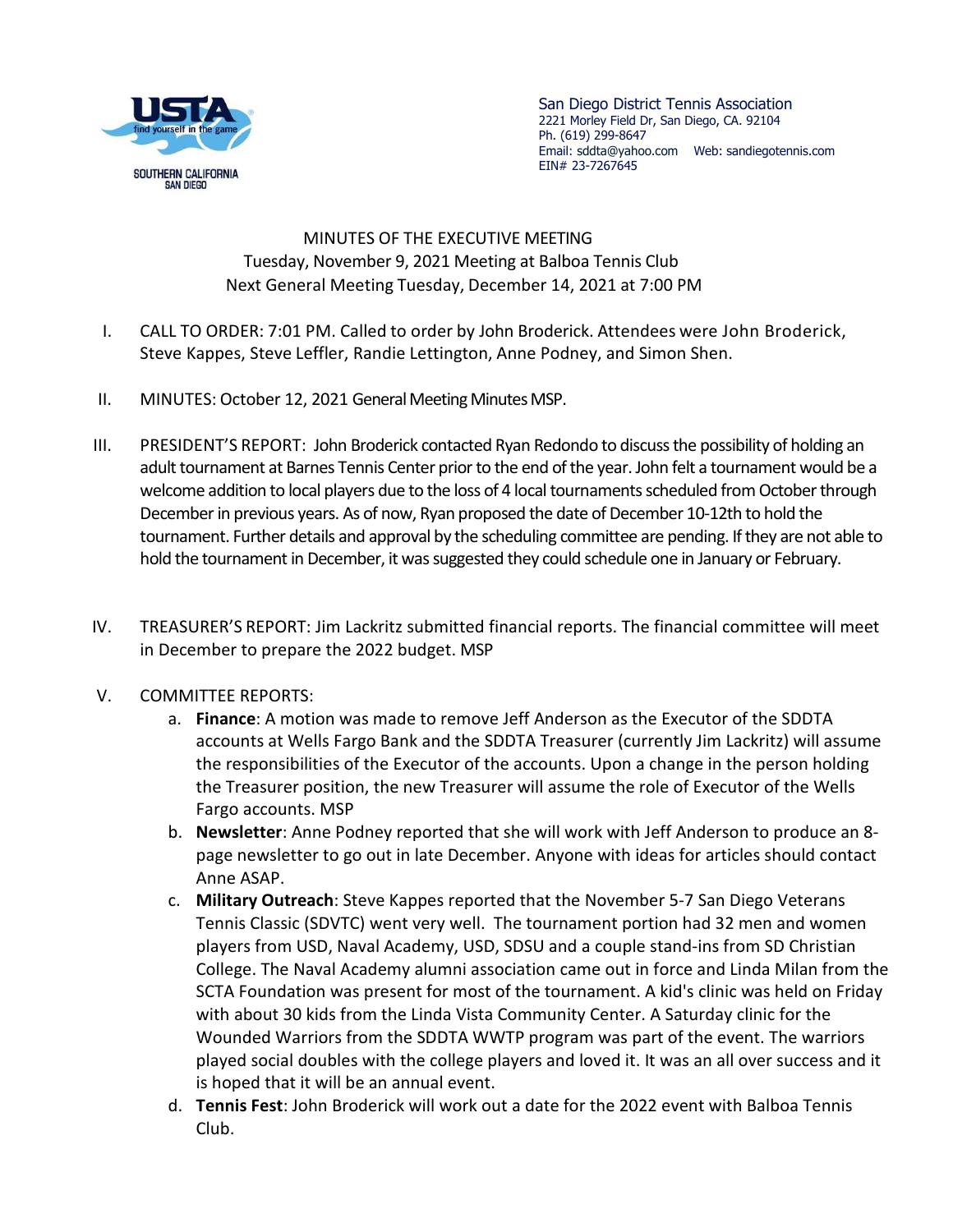

San Diego District Tennis Association 2221 Morley Field Dr, San Diego, CA. 92104 Ph. (619) 299-8647 Email: sddta@yahoo.com Web: sandiegotennis.com EIN# 23-7267645

 MINUTES OF THE EXECUTIVE MEETING Tuesday, November 9, 2021 Meeting at Balboa Tennis Club Next General Meeting Tuesday, December 14, 2021 at 7:00 PM

- I. CALL TO ORDER: 7:01 PM. Called to order by John Broderick. Attendees were John Broderick, Steve Kappes, Steve Leffler, Randie Lettington, Anne Podney, and Simon Shen.
- II. MINUTES: October 12, 2021 General Meeting Minutes MSP.
- III. PRESIDENT'S REPORT: John Broderick contacted Ryan Redondo to discuss the possibility of holding an adult tournament at Barnes Tennis Center prior to the end of the year. John felt a tournament would be a welcome addition to local players due to the loss of 4 local tournaments scheduled from October through December in previous years. As of now, Ryan proposed the date of December 10-12th to hold the tournament. Further details and approval by the scheduling committee are pending. If they are not able to hold the tournament in December, it was suggested they could schedule one in January or February.
- IV. TREASURER'S REPORT: Jim Lackritz submitted financial reports. The financial committee will meet in December to prepare the 2022 budget. MSP
- V. COMMITTEE REPORTS:
	- a. **Finance**: A motion was made to remove Jeff Anderson as the Executor of the SDDTA accounts at Wells Fargo Bank and the SDDTA Treasurer (currently Jim Lackritz) will assume the responsibilities of the Executor of the accounts. Upon a change in the person holding the Treasurer position, the new Treasurer will assume the role of Executor of the Wells Fargo accounts. MSP
	- b. **Newsletter**: Anne Podney reported that she will work with Jeff Anderson to produce an 8 page newsletter to go out in late December. Anyone with ideas for articles should contact Anne ASAP.
	- c. **Military Outreach**: Steve Kappes reported that the November 5-7 San Diego Veterans Tennis Classic (SDVTC) went very well. The tournament portion had 32 men and women players from USD, Naval Academy, USD, SDSU and a couple stand-ins from SD Christian College. The Naval Academy alumni association came out in force and Linda Milan from the SCTA Foundation was present for most of the tournament. A kid's clinic was held on Friday with about 30 kids from the Linda Vista Community Center. A Saturday clinic for the Wounded Warriors from the SDDTA WWTP program was part of the event. The warriors played social doubles with the college players and loved it. It was an all over success and it is hoped that it will be an annual event.
	- d. **Tennis Fest**: John Broderick will work out a date for the 2022 event with Balboa Tennis Club.